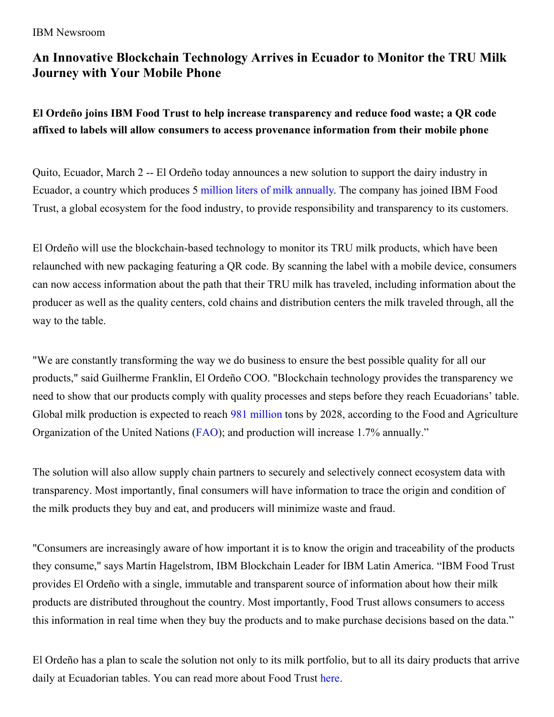#### IBM Newsroom

# **An Innovative Blockchain Technology Arrives in Ecuador to Monitor the TRU Milk Journey with Your Mobile Phone**

# **El Ordeño joins IBM Food Trust to help increase transparency and reduce food waste; a QR code affixed to labels will allow consumers to access provenance information from their mobile phone**

Quito, Ecuador, March 2 -- El Ordeño today announces a new solution to support the dairy industry in Ecuador, a country which produces 5 million liters of milk [annually](https://www.eltelegrafo.com.ec/noticias/economia/4/sector-ganadero-nacional-produccion-litros-leche). The company has joined IBM Food Trust, a global ecosystem for the food industry, to provide responsibility and transparency to its customers.

El Ordeño will use the blockchain-based technology to monitor its TRU milk products, which have been relaunched with new packaging featuring a QR code. By scanning the label with a mobile device, consumers can now access information about the path that their TRU milk has traveled, including information about the producer as well as the quality centers, cold chains and distribution centers the milk traveled through, all the way to the table.

"We are constantly transforming the way we do business to ensure the best possible quality for all our products," said Guilherme Franklin, El Ordeño COO. "Blockchain technology provides the transparency we need to show that our products comply with quality processes and steps before they reach Ecuadorians' table. Global milk production is expected to reach 981 [million](http://www.ocla.org.ar/contents/news/details/14161156-crecimiento-de-la-produccion-mundial-de-leche) tons by 2028, according to the Food and Agriculture Organization of the United Nations [\(FAO](http://www.ocla.org.ar/contents/news/details/14161156-crecimiento-de-la-produccion-mundial-de-leche)); and production will increase 1.7% annually."

The solution will also allow supply chain partners to securely and selectively connect ecosystem data with transparency. Most importantly, final consumers will have information to trace the origin and condition of the milk products they buy and eat, and producers will minimize waste and fraud.

"Consumers are increasingly aware of how important it is to know the origin and traceability of the products they consume," says Martín Hagelstrom, IBM Blockchain Leader for IBM Latin America. "IBM Food Trust provides El Ordeño with a single, immutable and transparent source of information about how their milk products are distributed throughout the country. Most importantly, Food Trust allows consumers to access this information in real time when they buy the products and to make purchase decisions based on the data."

El Ordeño has a plan to scale the solution not only to its milk portfolio, but to all its dairy products that arrive daily at Ecuadorian tables. You can read more about Food Trust [here](https://www.ibm.com/blockchain/solutions/food-trust).